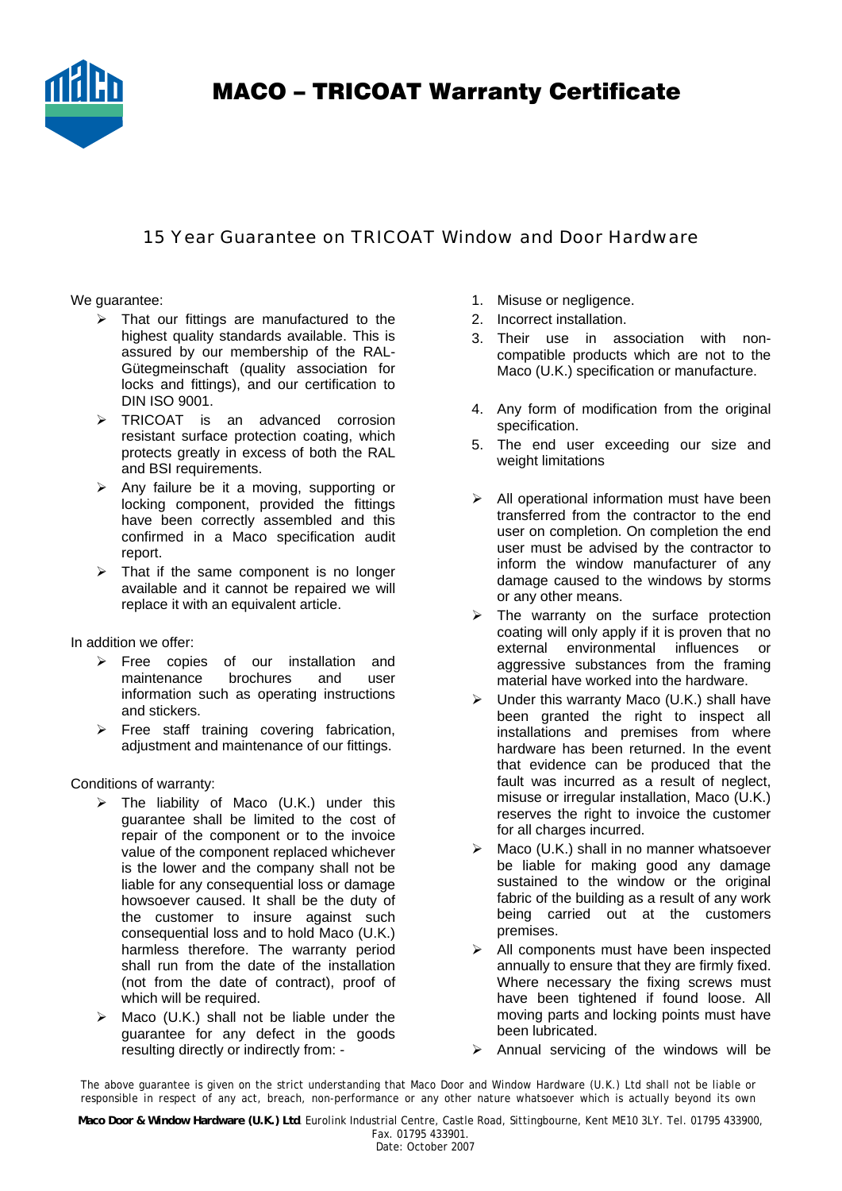

## 15 Year Guarantee on TRICOAT Window and Door Hardware

## We guarantee:

- $\triangleright$  That our fittings are manufactured to the highest quality standards available. This is assured by our membership of the RAL-Gütegmeinschaft (quality association for locks and fittings), and our certification to DIN ISO 9001.
- > TRICOAT is an advanced corrosion resistant surface protection coating, which protects greatly in excess of both the RAL and BSI requirements.
- $\triangleright$  Any failure be it a moving, supporting or locking component, provided the fittings have been correctly assembled and this confirmed in a Maco specification audit report.
- $\triangleright$  That if the same component is no longer available and it cannot be repaired we will replace it with an equivalent article.

In addition we offer:

- $\triangleright$  Free copies of our installation and maintenance brochures and user information such as operating instructions and stickers.
- $\triangleright$  Free staff training covering fabrication, adjustment and maintenance of our fittings.

Conditions of warranty:

- $\triangleright$  The liability of Maco (U.K.) under this guarantee shall be limited to the cost of repair of the component or to the invoice value of the component replaced whichever is the lower and the company shall not be liable for any consequential loss or damage howsoever caused. It shall be the duty of the customer to insure against such consequential loss and to hold Maco (U.K.) harmless therefore. The warranty period shall run from the date of the installation (not from the date of contract), proof of which will be required.
- $\triangleright$  Maco (U.K.) shall not be liable under the guarantee for any defect in the goods resulting directly or indirectly from: -
- 1. Misuse or negligence.
- 2. Incorrect installation.
- 3. Their use in association with noncompatible products which are not to the Maco (U.K.) specification or manufacture.
- 4. Any form of modification from the original specification.
- 5. The end user exceeding our size and weight limitations
- $\triangleright$  All operational information must have been transferred from the contractor to the end user on completion. On completion the end user must be advised by the contractor to inform the window manufacturer of any damage caused to the windows by storms or any other means.
- $\triangleright$  The warranty on the surface protection coating will only apply if it is proven that no external environmental influences or aggressive substances from the framing material have worked into the hardware.
- $\triangleright$  Under this warranty Maco (U.K.) shall have been granted the right to inspect all installations and premises from where hardware has been returned. In the event that evidence can be produced that the fault was incurred as a result of neglect, misuse or irregular installation, Maco (U.K.) reserves the right to invoice the customer for all charges incurred.
- $\triangleright$  Maco (U.K.) shall in no manner whatsoever be liable for making good any damage sustained to the window or the original fabric of the building as a result of any work being carried out at the customers premises.
- $\triangleright$  All components must have been inspected annually to ensure that they are firmly fixed. Where necessary the fixing screws must have been tightened if found loose. All moving parts and locking points must have been lubricated.
- $\triangleright$  Annual servicing of the windows will be

The above guarantee is given on the strict understanding that Maco Door and Window Hardware (U.K.) Ltd shall not be liable or responsible in respect of any act, breach, non-performance or any other nature whatsoever which is actually beyond its own